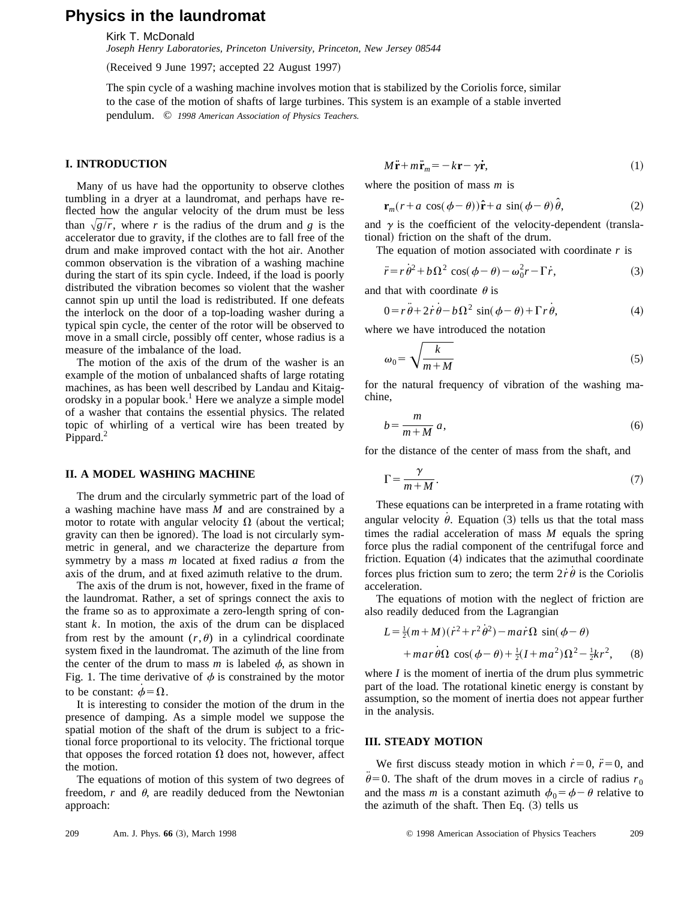# **Physics in the laundromat**

Kirk T. McDonald

*Joseph Henry Laboratories, Princeton University, Princeton, New Jersey 08544*

(Received 9 June 1997; accepted 22 August 1997)

The spin cycle of a washing machine involves motion that is stabilized by the Coriolis force, similar to the case of the motion of shafts of large turbines. This system is an example of a stable inverted pendulum. © *1998 American Association of Physics Teachers.*

## **I. INTRODUCTION**

Many of us have had the opportunity to observe clothes tumbling in a dryer at a laundromat, and perhaps have reflected how the angular velocity of the drum must be less than  $\sqrt{g/r}$ , where *r* is the radius of the drum and *g* is the accelerator due to gravity, if the clothes are to fall free of the drum and make improved contact with the hot air. Another common observation is the vibration of a washing machine during the start of its spin cycle. Indeed, if the load is poorly distributed the vibration becomes so violent that the washer cannot spin up until the load is redistributed. If one defeats the interlock on the door of a top-loading washer during a typical spin cycle, the center of the rotor will be observed to move in a small circle, possibly off center, whose radius is a measure of the imbalance of the load.

The motion of the axis of the drum of the washer is an example of the motion of unbalanced shafts of large rotating machines, as has been well described by Landau and Kitaigorodsky in a popular book.<sup>1</sup> Here we analyze a simple model of a washer that contains the essential physics. The related topic of whirling of a vertical wire has been treated by Pippard.<sup>2</sup>

# **II. A MODEL WASHING MACHINE**

The drum and the circularly symmetric part of the load of a washing machine have mass *M* and are constrained by a motor to rotate with angular velocity  $\Omega$  (about the vertical; gravity can then be ignored). The load is not circularly symmetric in general, and we characterize the departure from symmetry by a mass *m* located at fixed radius *a* from the axis of the drum, and at fixed azimuth relative to the drum.

The axis of the drum is not, however, fixed in the frame of the laundromat. Rather, a set of springs connect the axis to the frame so as to approximate a zero-length spring of constant *k*. In motion, the axis of the drum can be displaced from rest by the amount  $(r, \theta)$  in a cylindrical coordinate system fixed in the laundromat. The azimuth of the line from the center of the drum to mass  $m$  is labeled  $\phi$ , as shown in Fig. 1. The time derivative of  $\phi$  is constrained by the motor to be constant:  $\phi = \Omega$ .

It is interesting to consider the motion of the drum in the presence of damping. As a simple model we suppose the spatial motion of the shaft of the drum is subject to a frictional force proportional to its velocity. The frictional torque that opposes the forced rotation  $\Omega$  does not, however, affect the motion.

The equations of motion of this system of two degrees of freedom,  $r$  and  $\theta$ , are readily deduced from the Newtonian approach:

$$
M\ddot{\mathbf{r}} + m\ddot{\mathbf{r}}_m = -k\mathbf{r} - \gamma\dot{\mathbf{r}},\tag{1}
$$

where the position of mass *m* is

$$
\mathbf{r}_m(r+a\,\cos(\phi-\theta))\hat{\mathbf{r}}+a\,\sin(\phi-\theta)\,\hat{\theta},\qquad(2)
$$

and  $\gamma$  is the coefficient of the velocity-dependent (translational) friction on the shaft of the drum.

The equation of motion associated with coordinate *r* is

$$
\ddot{r} = r\dot{\theta}^2 + b\Omega^2 \cos(\phi - \theta) - \omega_0^2 r - \Gamma \dot{r}, \qquad (3)
$$

and that with coordinate  $\theta$  is

$$
0 = r\ddot{\theta} + 2\dot{r}\dot{\theta} - b\Omega^2 \sin(\phi - \theta) + \Gamma r\dot{\theta}, \tag{4}
$$

where we have introduced the notation

$$
\omega_0 = \sqrt{\frac{k}{m+M}}
$$
 (5)

for the natural frequency of vibration of the washing machine,

$$
b = \frac{m}{m+M} a,\tag{6}
$$

for the distance of the center of mass from the shaft, and

$$
\Gamma = \frac{\gamma}{m + M} \,. \tag{7}
$$

These equations can be interpreted in a frame rotating with angular velocity  $\dot{\theta}$ . Equation (3) tells us that the total mass times the radial acceleration of mass *M* equals the spring force plus the radial component of the centrifugal force and friction. Equation  $(4)$  indicates that the azimuthal coordinate forces plus friction sum to zero; the term  $2\dot{r}\dot{\theta}$  is the Coriolis acceleration.

The equations of motion with the neglect of friction are also readily deduced from the Lagrangian

$$
L = \frac{1}{2}(m+M)(\dot{r}^2 + r^2\dot{\theta}^2) - ma\dot{r}\Omega\sin(\phi-\theta)
$$
  
+
$$
+mar\dot{\theta}\Omega\cos(\phi-\theta) + \frac{1}{2}(I+ma^2)\Omega^2 - \frac{1}{2}kr^2,
$$
 (8)

where *I* is the moment of inertia of the drum plus symmetric part of the load. The rotational kinetic energy is constant by assumption, so the moment of inertia does not appear further in the analysis.

### **III. STEADY MOTION**

We first discuss steady motion in which  $\dot{r}=0$ ,  $\ddot{r}=0$ , and  $\ddot{\theta} = 0$ . The shaft of the drum moves in a circle of radius  $r_0$ and the mass *m* is a constant azimuth  $\phi_0 = \phi - \theta$  relative to the azimuth of the shaft. Then Eq.  $(3)$  tells us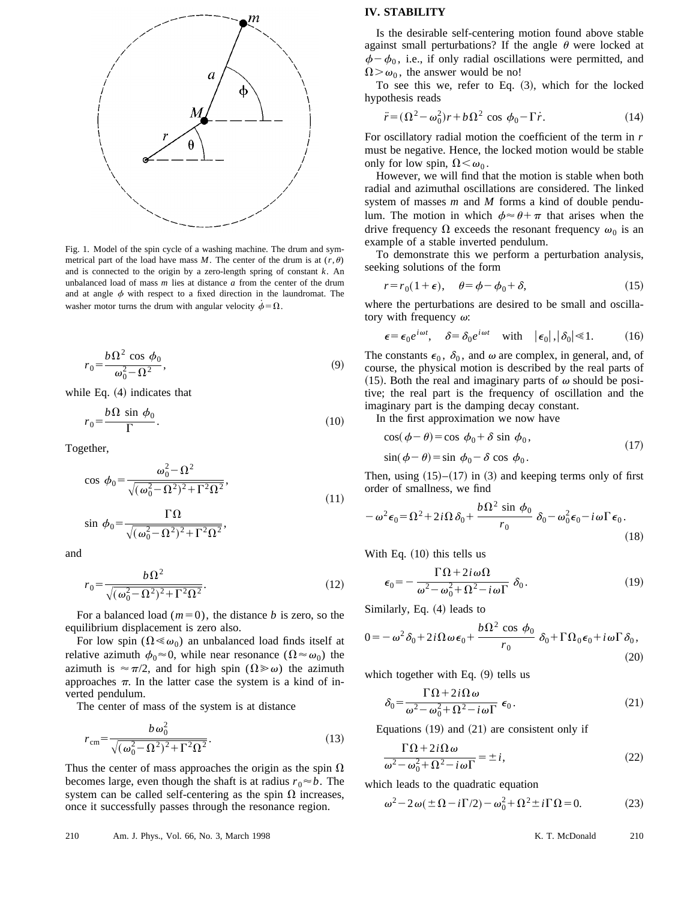

Fig. 1. Model of the spin cycle of a washing machine. The drum and symmetrical part of the load have mass  $M$ . The center of the drum is at  $(r, \theta)$ and is connected to the origin by a zero-length spring of constant *k*. An unbalanced load of mass *m* lies at distance *a* from the center of the drum and at angle  $\phi$  with respect to a fixed direction in the laundromat. The washer motor turns the drum with angular velocity  $\phi = \Omega$ .

$$
r_0 = \frac{b\,\Omega^2\,\cos\,\phi_0}{\omega_0^2 - \Omega^2},\tag{9}
$$

while Eq.  $(4)$  indicates that

$$
r_0 = \frac{b\,\Omega\,\sin\,\phi_0}{\Gamma}.\tag{10}
$$

Together,

$$
\cos \phi_0 = \frac{\omega_0^2 - \Omega^2}{\sqrt{(\omega_0^2 - \Omega^2)^2 + \Gamma^2 \Omega^2}},
$$
\n(11)

$$
\sin \phi_0 = \frac{\Gamma \Omega}{\sqrt{(\omega_0^2 - \Omega^2)^2 + \Gamma^2 \Omega^2}},
$$

and

$$
r_0 = \frac{b\,\Omega^2}{\sqrt{(\omega_0^2 - \Omega^2)^2 + \Gamma^2 \Omega^2}}.\tag{12}
$$

For a balanced load  $(m=0)$ , the distance *b* is zero, so the equilibrium displacement is zero also.

For low spin ( $\Omega \ll \omega_0$ ) an unbalanced load finds itself at relative azimuth  $\phi_0 \approx 0$ , while near resonance  $(\Omega \approx \omega_0)$  the azimuth is  $\approx \pi/2$ , and for high spin ( $\Omega \gg \omega$ ) the azimuth approaches  $\pi$ . In the latter case the system is a kind of inverted pendulum.

The center of mass of the system is at distance

$$
r_{\rm cm} = \frac{b\,\omega_0^2}{\sqrt{(\omega_0^2 - \Omega^2)^2 + \Gamma^2 \Omega^2}}.\tag{13}
$$

Thus the center of mass approaches the origin as the spin  $\Omega$ becomes large, even though the shaft is at radius  $r_0 \approx b$ . The system can be called self-centering as the spin  $\Omega$  increases, once it successfully passes through the resonance region.

#### 210 Am. J. Phys., Vol. 66, No. 3, March 1998 K. T. McDonald 210

# **IV. STABILITY**

Is the desirable self-centering motion found above stable against small perturbations? If the angle  $\theta$  were locked at  $\phi - \phi_0$ , i.e., if only radial oscillations were permitted, and  $\Omega > \omega_0$ , the answer would be no!

To see this we, refer to Eq.  $(3)$ , which for the locked hypothesis reads

$$
\ddot{r} = (\Omega^2 - \omega_0^2)r + b\Omega^2 \cos \phi_0 - \Gamma \dot{r}.
$$
 (14)

For oscillatory radial motion the coefficient of the term in *r* must be negative. Hence, the locked motion would be stable only for low spin,  $\Omega \leq \omega_0$ .

However, we will find that the motion is stable when both radial and azimuthal oscillations are considered. The linked system of masses *m* and *M* forms a kind of double pendulum. The motion in which  $\phi \approx \theta + \pi$  that arises when the drive frequency  $\Omega$  exceeds the resonant frequency  $\omega_0$  is an example of a stable inverted pendulum.

To demonstrate this we perform a perturbation analysis, seeking solutions of the form

$$
r = r_0(1 + \epsilon), \quad \theta = \phi - \phi_0 + \delta,
$$
 (15)

where the perturbations are desired to be small and oscillatory with frequency  $\omega$ :

$$
\epsilon = \epsilon_0 e^{i\omega t}, \quad \delta = \delta_0 e^{i\omega t} \quad \text{with} \quad |\epsilon_0|, |\delta_0| \le 1. \tag{16}
$$

The constants  $\epsilon_0$ ,  $\delta_0$ , and  $\omega$  are complex, in general, and, of course, the physical motion is described by the real parts of (15). Both the real and imaginary parts of  $\omega$  should be positive; the real part is the frequency of oscillation and the imaginary part is the damping decay constant.

In the first approximation we now have

$$
\cos(\phi - \theta) = \cos \phi_0 + \delta \sin \phi_0, \n\sin(\phi - \theta) = \sin \phi_0 - \delta \cos \phi_0.
$$
\n(17)

Then, using  $(15)$ – $(17)$  in  $(3)$  and keeping terms only of first order of smallness, we find

$$
-\omega^2 \epsilon_0 = \Omega^2 + 2i\Omega \delta_0 + \frac{b\Omega^2 \sin \phi_0}{r_0} \delta_0 - \omega_0^2 \epsilon_0 - i\omega \Gamma \epsilon_0.
$$
\n(18)

With Eq.  $(10)$  this tells us

$$
\epsilon_0 = -\frac{\Gamma \Omega + 2i\omega \Omega}{\omega^2 - \omega_0^2 + \Omega^2 - i\omega \Gamma} \delta_0.
$$
 (19)

Similarly, Eq.  $(4)$  leads to

$$
0 = -\omega^2 \delta_0 + 2i\Omega \omega \epsilon_0 + \frac{b\Omega^2 \cos \phi_0}{r_0} \delta_0 + \Gamma \Omega_0 \epsilon_0 + i\omega \Gamma \delta_0,
$$
\n(20)

which together with Eq.  $(9)$  tells us

$$
\delta_0 = \frac{\Gamma \Omega + 2i\Omega \omega}{\omega^2 - \omega_0^2 + \Omega^2 - i\omega \Gamma} \epsilon_0.
$$
 (21)

Equations  $(19)$  and  $(21)$  are consistent only if

$$
\frac{\Gamma \Omega + 2i\Omega \omega}{\omega^2 - \omega_0^2 + \Omega^2 - i\omega \Gamma} = \pm i,
$$
\n(22)

which leads to the quadratic equation

$$
\omega^2 - 2\omega(\pm\Omega - i\Gamma/2) - \omega_0^2 + \Omega^2 \pm i\Gamma\Omega = 0.
$$
 (23)